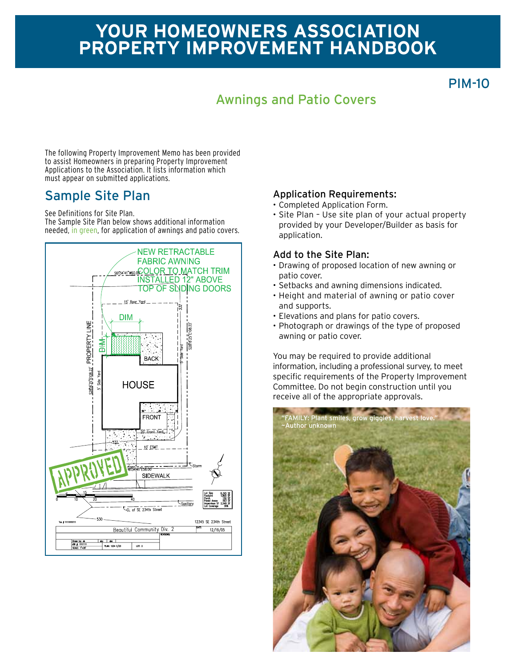## **Your homeowners association Property improvement Handbook**

PIM-10

## Awnings and Patio Covers

The following Property Improvement Memo has been provided to assist Homeowners in preparing Property Improvement Applications to the Association. It lists information which must appear on submitted applications.

#### Sample Site Plan

See Definitions for Site Plan.

The Sample Site Plan below shows additional information needed, in green, for application of awnings and patio covers.



#### Application Requirements:

- • Completed Application Form.
- Site Plan Use site plan of your actual property provided by your Developer/Builder as basis for application.

#### Add to the Site Plan:

- • Drawing of proposed location of new awning or patio cover.
- • Setbacks and awning dimensions indicated.
- Height and material of awning or patio cover and supports.
- • Elevations and plans for patio covers.
- Photograph or drawings of the type of proposed awning or patio cover.

You may be required to provide additional information, including a professional survey, to meet specific requirements of the Property Improvement Committee. Do not begin construction until you receive all of the appropriate approvals.

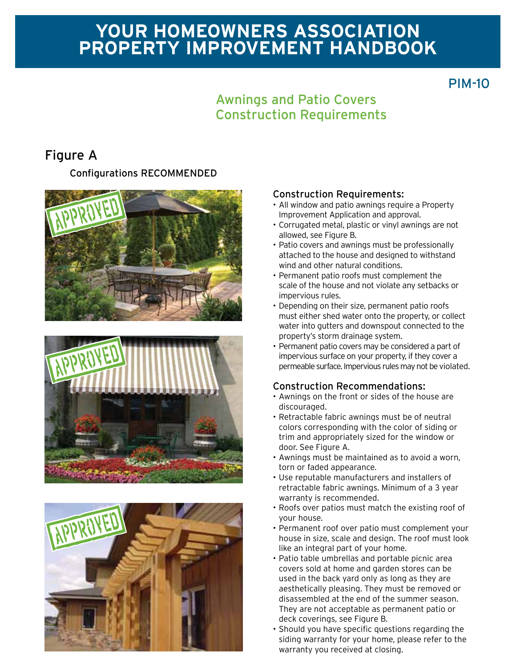# **Your homeowners association Property improvement Handbook**

### PIM-10

### Awnings and Patio Covers Construction Requirements

### Figure A

Configurations RECOMMENDED







#### Construction Requirements:

- All window and patio awnings require a Property Improvement Application and approval.
- • Corrugated metal, plastic or vinyl awnings are not allowed, see Figure B.
- Patio covers and awnings must be professionally attached to the house and designed to withstand wind and other natural conditions.
- • Permanent patio roofs must complement the scale of the house and not violate any setbacks or impervious rules.
- Depending on their size, permanent patio roofs must either shed water onto the property, or collect water into gutters and downspout connected to the property's storm drainage system.
- Permanent patio covers may be considered a part of impervious surface on your property, if they cover a permeable surface. Impervious rules may not be violated.

#### Construction Recommendations:

- • Awnings on the front or sides of the house are discouraged.
- • Retractable fabric awnings must be of neutral colors corresponding with the color of siding or trim and appropriately sized for the window or door. See Figure A.
- • Awnings must be maintained as to avoid a worn, torn or faded appearance.
- • Use reputable manufacturers and installers of retractable fabric awnings. Minimum of a 3 year warranty is recommended.
- • Roofs over patios must match the existing roof of your house.
- • Permanent roof over patio must complement your house in size, scale and design. The roof must look like an integral part of your home.
- Patio table umbrellas and portable picnic area covers sold at home and garden stores can be used in the back yard only as long as they are aesthetically pleasing. They must be removed or disassembled at the end of the summer season. They are not acceptable as permanent patio or deck coverings, see Figure B.
- • Should you have specific questions regarding the siding warranty for your home, please refer to the warranty you received at closing.